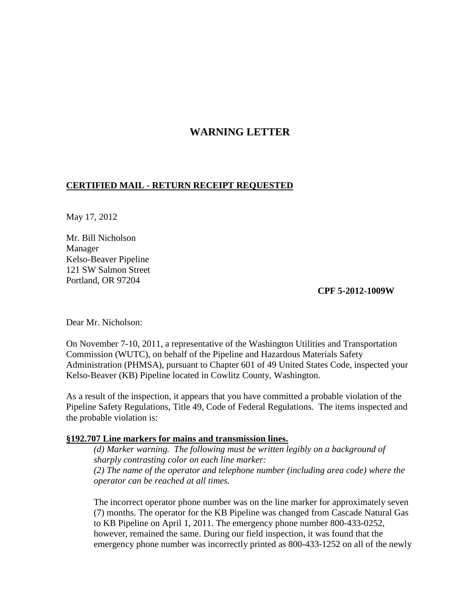## **WARNING LETTER**

## **CERTIFIED MAIL - RETURN RECEIPT REQUESTED**

May 17, 2012

Mr. Bill Nicholson Manager Kelso-Beaver Pipeline 121 SW Salmon Street Portland, OR 97204

## **CPF 5-2012-1009W**

Dear Mr. Nicholson:

On November 7-10, 2011, a representative of the Washington Utilities and Transportation Commission (WUTC), on behalf of the Pipeline and Hazardous Materials Safety Administration (PHMSA), pursuant to Chapter 601 of 49 United States Code, inspected your Kelso-Beaver (KB) Pipeline located in Cowlitz County, Washington.

As a result of the inspection, it appears that you have committed a probable violation of the Pipeline Safety Regulations, Title 49, Code of Federal Regulations. The items inspected and the probable violation is:

## **§192.707 Line markers for mains and transmission lines.**

*(d) Marker warning. The following must be written legibly on a background of sharply contrasting color on each line marker: (2) The name of the operator and telephone number (including area code) where the operator can be reached at all times.*

The incorrect operator phone number was on the line marker for approximately seven (7) months. The operator for the KB Pipeline was changed from Cascade Natural Gas to KB Pipeline on April 1, 2011. The emergency phone number 800-433-0252, however, remained the same. During our field inspection, it was found that the emergency phone number was incorrectly printed as 800-433-1252 on all of the newly